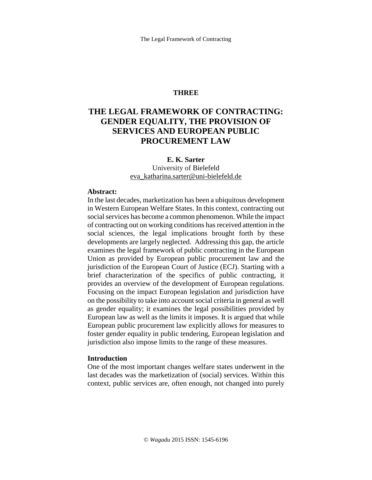# **THREE**

# **THE LEGAL FRAMEWORK OF CONTRACTING: GENDER EQUALITY, THE PROVISION OF SERVICES AND EUROPEAN PUBLIC PROCUREMENT LAW**

# **E. K. Sarter**

### University of Bielefeld [eva\\_katharina.sarter@uni-bielefeld.de](mailto:eva_katharina.sarter@uni-bielefeld.de)

#### **Abstract:**

In the last decades, marketization has been a ubiquitous development in Western European Welfare States. In this context, contracting out social services has become a common phenomenon. While the impact of contracting out on working conditions hasreceived attention in the social sciences, the legal implications brought forth by these developments are largely neglected. Addressing this gap, the article examines the legal framework of public contracting in the European Union as provided by European public procurement law and the jurisdiction of the European Court of Justice (ECJ). Starting with a brief characterization of the specifics of public contracting, it provides an overview of the development of European regulations. Focusing on the impact European legislation and jurisdiction have on the possibility to take into account social criteria in general as well as gender equality; it examines the legal possibilities provided by European law as well as the limits it imposes. It is argued that while European public procurement law explicitly allows for measures to foster gender equality in public tendering, European legislation and jurisdiction also impose limits to the range of these measures.

#### **Introduction**

One of the most important changes welfare states underwent in the last decades was the marketization of (social) services. Within this context, public services are, often enough, not changed into purely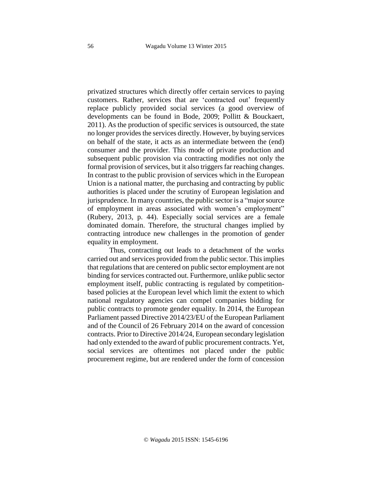privatized structures which directly offer certain services to paying customers. Rather, services that are 'contracted out' frequently replace publicly provided social services (a good overview of developments can be found in Bode, 2009; Pollitt & Bouckaert, 2011). As the production of specific services is outsourced, the state no longer provides the services directly. However, by buying services on behalf of the state, it acts as an intermediate between the (end) consumer and the provider. This mode of private production and subsequent public provision via contracting modifies not only the formal provision of services, but it also triggers far reaching changes. In contrast to the public provision of services which in the European Union is a national matter, the purchasing and contracting by public authorities is placed under the scrutiny of European legislation and jurisprudence. In many countries, the public sector is a "majorsource of employment in areas associated with women's employment" (Rubery, 2013, p. 44). Especially social services are a female dominated domain. Therefore, the structural changes implied by contracting introduce new challenges in the promotion of gender equality in employment.

Thus, contracting out leads to a detachment of the works carried out and services provided from the public sector. Thisimplies that regulations that are centered on public sector employment are not binding for services contracted out. Furthermore, unlike public sector employment itself, public contracting is regulated by competitionbased policies at the European level which limit the extent to which national regulatory agencies can compel companies bidding for public contracts to promote gender equality. In 2014, the European Parliament passed Directive 2014/23/EU of the European Parliament and of the Council of 26 February 2014 on the award of concession contracts. Prior to Directive 2014/24, European secondary legislation had only extended to the award of public procurement contracts. Yet, social services are oftentimes not placed under the public procurement regime, but are rendered under the form of concession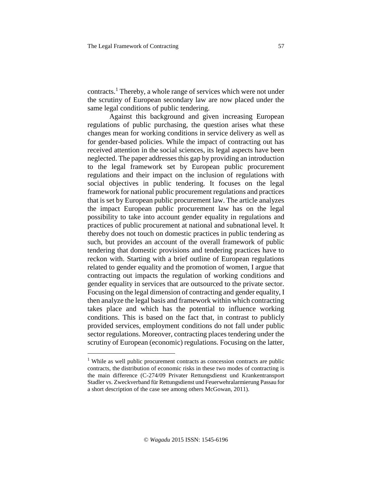contracts.<sup>1</sup> Thereby, a whole range of services which were not under the scrutiny of European secondary law are now placed under the same legal conditions of public tendering.

Against this background and given increasing European regulations of public purchasing, the question arises what these changes mean for working conditions in service delivery as well as for gender-based policies. While the impact of contracting out has received attention in the social sciences, its legal aspects have been neglected. The paper addressesthis gap by providing an introduction to the legal framework set by European public procurement regulations and their impact on the inclusion of regulations with social objectives in public tendering. It focuses on the legal framework for national public procurement regulations and practices that is set by European public procurement law. The article analyzes the impact European public procurement law has on the legal possibility to take into account gender equality in regulations and practices of public procurement at national and subnational level. It thereby does not touch on domestic practices in public tendering as such, but provides an account of the overall framework of public tendering that domestic provisions and tendering practices have to reckon with. Starting with a brief outline of European regulations related to gender equality and the promotion of women, I argue that contracting out impacts the regulation of working conditions and gender equality in services that are outsourced to the private sector. Focusing on the legal dimension of contracting and gender equality, I then analyze the legal basis and framework within which contracting takes place and which has the potential to influence working conditions. This is based on the fact that, in contrast to publicly provided services, employment conditions do not fall under public sector regulations. Moreover, contracting places tendering under the scrutiny of European (economic) regulations. Focusing on the latter,

j

<sup>&</sup>lt;sup>1</sup> While as well public procurement contracts as concession contracts are public contracts, the distribution of economic risks in these two modes of contracting is the main difference (C-274/09 Privater Rettungsdienst und Krankentransport Stadler vs. Zweckverband für Rettungsdienst und Feuerwehralarmierung Passau for a short description of the case see among others McGowan, 2011).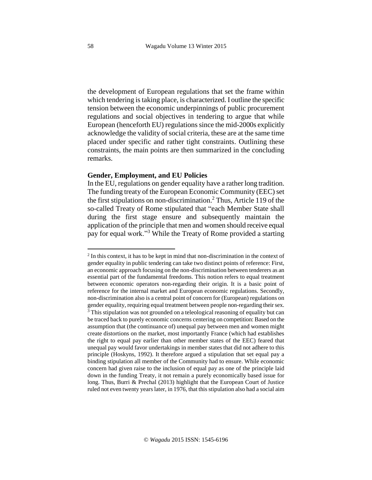the development of European regulations that set the frame within which tendering is taking place, is characterized. I outline the specific tension between the economic underpinnings of public procurement regulations and social objectives in tendering to argue that while European (henceforth EU) regulations since the mid-2000s explicitly acknowledge the validity of social criteria, these are at the same time placed under specific and rather tight constraints. Outlining these constraints, the main points are then summarized in the concluding remarks.

### **Gender, Employment, and EU Policies**

In the EU, regulations on gender equality have a rather long tradition. The funding treaty of the European Economic Community (EEC) set the first stipulations on non-discrimination. <sup>2</sup> Thus, Article 119 of the so-called Treaty of Rome stipulated that "each Member State shall during the first stage ensure and subsequently maintain the application of the principle that men and women should receive equal pay for equal work."<sup>3</sup> While the Treaty of Rome provided a starting

j

 $2$  In this context, it has to be kept in mind that non-discrimination in the context of gender equality in public tendering can take two distinct points of reference: First, an economic approach focusing on the non-discrimination between tenderers as an essential part of the fundamental freedoms. This notion refers to equal treatment between economic operators non-regarding their origin. It is a basic point of reference for the internal market and European economic regulations. Secondly, non-discrimination also is a central point of concern for (European) regulations on gender equality, requiring equal treatment between people non-regarding their sex. <sup>3</sup> This stipulation was not grounded on a teleological reasoning of equality but can be traced back to purely economic concerns centering on competition: Based on the assumption that (the continuance of) unequal pay between men and women might create distortions on the market, most importantly France (which had establishes the right to equal pay earlier than other member states of the EEC) feared that unequal pay would favor undertakings in member states that did not adhere to this principle (Hoskyns, 1992). It therefore argued a stipulation that set equal pay a binding stipulation all member of the Community had to ensure. While economic concern had given raise to the inclusion of equal pay as one of the principle laid down in the funding Treaty, it not remain a purely economically based issue for long. Thus, Burri & Prechal (2013) highlight that the European Court of Justice ruled not even twenty years later, in 1976, that this stipulation also had a social aim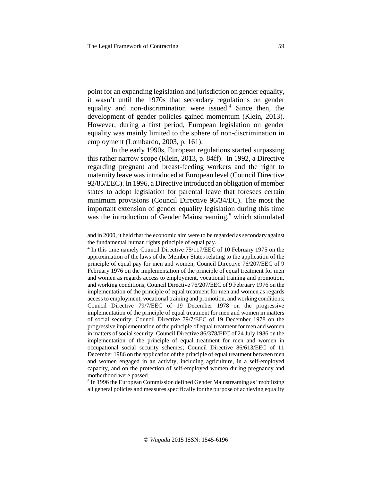j

point for an expanding legislation and jurisdiction on gender equality, it wasn't until the 1970s that secondary regulations on gender equality and non-discrimination were issued.<sup>4</sup> Since then, the development of gender policies gained momentum (Klein, 2013). However, during a first period, European legislation on gender equality was mainly limited to the sphere of non-discrimination in employment (Lombardo, 2003, p. 161).

In the early 1990s, European regulations started surpassing this rather narrow scope (Klein, 2013, p. 84ff). In 1992, a Directive regarding pregnant and breast-feeding workers and the right to maternity leave wasintroduced at European level (Council Directive 92/85/EEC). In 1996, a Directive introduced an obligation of member states to adopt legislation for parental leave that foresees certain minimum provisions (Council Directive 96/34/EC). The most the important extension of gender equality legislation during this time was the introduction of Gender Mainstreaming,<sup>5</sup> which stimulated

<sup>5</sup> In 1996 the European Commission defined Gender Mainstreaming as "mobilizing all general policies and measures specifically for the purpose of achieving equality

and in 2000, it held that the economic aim were to be regarded assecondary against the fundamental human rights principle of equal pay.

<sup>&</sup>lt;sup>4</sup> In this time namely Council Directive 75/117/EEC of 10 February 1975 on the approximation of the laws of the Member States relating to the application of the principle of equal pay for men and women; Council Directive 76/207/EEC of 9 February 1976 on the implementation of the principle of equal treatment for men and women as regards access to employment, vocational training and promotion, and working conditions; Council Directive 76/207/EEC of 9 February 1976 on the implementation of the principle of equal treatment for men and women as regards accessto employment, vocational training and promotion, and working conditions; Council Directive 79/7/EEC of 19 December 1978 on the progressive implementation of the principle of equal treatment for men and women in matters of social security; Council Directive 79/7/EEC of 19 December 1978 on the progressive implementation of the principle of equal treatment for men and women in matters of social security; Council Directive 86/378/EEC of 24 July 1986 on the implementation of the principle of equal treatment for men and women in occupational social security schemes; Council Directive 86/613/EEC of 11 December 1986 on the application of the principle of equal treatment between men and women engaged in an activity, including agriculture, in a self-employed capacity, and on the protection of self-employed women during pregnancy and motherhood were passed.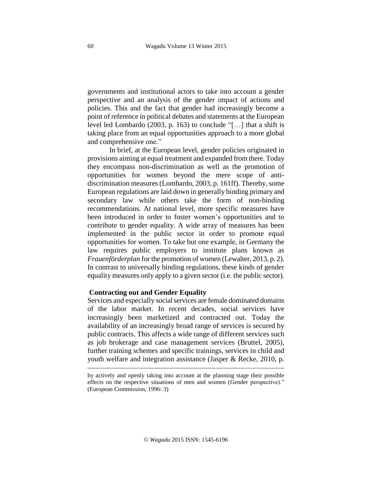governments and institutional actors to take into account a gender perspective and an analysis of the gender impact of actions and policies. This and the fact that gender had increasingly become a point of reference in political debates and statements at the European level led Lombardo (2003, p. 163) to conclude "[…] that a shift is taking place from an equal opportunities approach to a more global and comprehensive one."

In brief, at the European level, gender policies originated in provisions aiming at equal treatment and expanded from there. Today they encompass non-discrimination as well as the promotion of opportunities for women beyond the mere scope of antidiscrimination measures (Lombardo, 2003, p. 161ff). Thereby, some European regulations are laid down in generally binding primary and secondary law while others take the form of non-binding recommendations. At national level, more specific measures have been introduced in order to foster women's opportunities and to contribute to gender equality. A wide array of measures has been implemented in the public sector in order to promote equal opportunities for women. To take but one example, in Germany the law requires public employers to institute plans known as *Frauenförderplan* for the promotion of women (Lewalter, 2013, p. 2). In contrast to universally binding regulations, these kinds of gender equality measures only apply to a given sector (i.e. the public sector).

### **Contracting out and Gender Equality**

Services and especially social services are female dominated domains of the labor market. In recent decades, social services have increasingly been marketized and contracted out. Today the availability of an increasingly broad range of services is secured by public contracts. This affects a wide range of different services such as job brokerage and case management services (Bruttel, 2005), further training schemes and specific trainings, services in child and youth welfare and integration assistance (Jasper & Recke, 2010, p.

by actively and openly taking into account at the planning stage their possible effects on the respective situations of men and women (Gender perspective)." (European Commission, 1996: 3)

j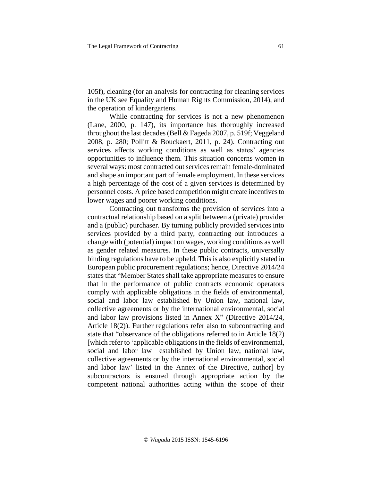105f), cleaning (for an analysis for contracting for cleaning services in the UK see Equality and Human Rights Commission, 2014), and the operation of kindergartens.

While contracting for services is not a new phenomenon (Lane, 2000, p. 147), its importance has thoroughly increased throughout the last decades (Bell & Fageda 2007, p. 519f; Veggeland 2008, p. 280; Pollitt & Bouckaert, 2011, p. 24). Contracting out services affects working conditions as well as states' agencies opportunities to influence them. This situation concerns women in several ways: most contracted out services remain female-dominated and shape an important part of female employment. In these services a high percentage of the cost of a given services is determined by personnel costs. A price based competition might create incentivesto lower wages and poorer working conditions.

Contracting out transforms the provision of services into a contractual relationship based on a split between a (private) provider and a (public) purchaser. By turning publicly provided services into services provided by a third party, contracting out introduces a change with (potential) impact on wages, working conditions as well as gender related measures. In these public contracts, universally binding regulations have to be upheld. This is also explicitly stated in European public procurement regulations; hence, Directive 2014/24 states that "Member States shall take appropriate measures to ensure that in the performance of public contracts economic operators comply with applicable obligations in the fields of environmental, social and labor law established by Union law, national law, collective agreements or by the international environmental, social and labor law provisions listed in Annex X" (Directive 2014/24, Article 18(2)). Further regulations refer also to subcontracting and state that "observance of the obligations referred to in Article 18(2) [which refer to 'applicable obligations in the fields of environmental, social and labor law established by Union law, national law, collective agreements or by the international environmental, social and labor law' listed in the Annex of the Directive, author] by subcontractors is ensured through appropriate action by the competent national authorities acting within the scope of their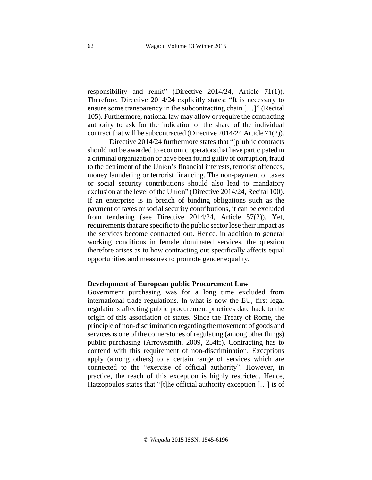responsibility and remit" (Directive 2014/24, Article 71(1)). Therefore, Directive 2014/24 explicitly states: "It is necessary to ensure some transparency in the subcontracting chain […]" (Recital 105). Furthermore, national law may allow or require the contracting authority to ask for the indication of the share of the individual contract that will be subcontracted (Directive 2014/24 Article 71(2)).

Directive 2014/24 furthermore states that "[p]ublic contracts should not be awarded to economic operators that have participated in a criminal organization or have been found guilty of corruption, fraud to the detriment of the Union's financial interests, terrorist offences, money laundering or terrorist financing. The non-payment of taxes or social security contributions should also lead to mandatory exclusion at the level of the Union" (Directive 2014/24, Recital 100). If an enterprise is in breach of binding obligations such as the payment of taxes or social security contributions, it can be excluded from tendering (see Directive 2014/24, Article 57(2)). Yet, requirements that are specific to the public sector lose their impact as the services become contracted out. Hence, in addition to general working conditions in female dominated services, the question therefore arises as to how contracting out specifically affects equal opportunities and measures to promote gender equality.

### **Development of European public Procurement Law**

Government purchasing was for a long time excluded from international trade regulations. In what is now the EU, first legal regulations affecting public procurement practices date back to the origin of this association of states. Since the Treaty of Rome, the principle of non-discrimination regarding the movement of goods and services is one of the cornerstones of regulating (among other things) public purchasing (Arrowsmith, 2009, 254ff). Contracting has to contend with this requirement of non-discrimination. Exceptions apply (among others) to a certain range of services which are connected to the "exercise of official authority". However, in practice, the reach of this exception is highly restricted. Hence, Hatzopoulos states that "[t]he official authority exception […] is of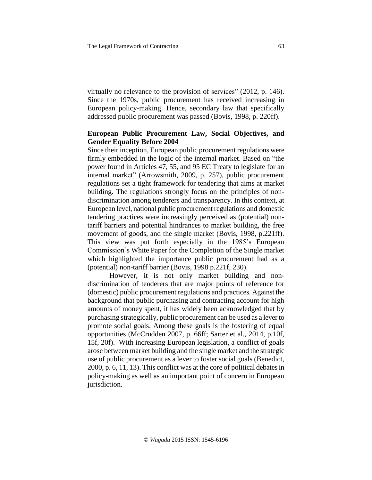virtually no relevance to the provision of services" (2012, p. 146). Since the 1970s, public procurement has received increasing in European policy-making. Hence, secondary law that specifically addressed public procurement was passed (Bovis, 1998, p. 220ff).

# **European Public Procurement Law, Social Objectives, and Gender Equality Before 2004**

Since their inception, European public procurement regulations were firmly embedded in the logic of the internal market. Based on "the power found in Articles 47, 55, and 95 EC Treaty to legislate for an internal market" (Arrowsmith, 2009, p. 257), public procurement regulations set a tight framework for tendering that aims at market building. The regulations strongly focus on the principles of nondiscrimination among tenderers and transparency. In this context, at European level, national public procurement regulations and domestic tendering practices were increasingly perceived as (potential) nontariff barriers and potential hindrances to market building, the free movement of goods, and the single market (Bovis, 1998, p.221ff). This view was put forth especially in the 1985's European Commission's White Paper for the Completion of the Single market which highlighted the importance public procurement had as a (potential) non-tariff barrier (Bovis, 1998 p.221f, 230).

However, it is not only market building and nondiscrimination of tenderers that are major points of reference for (domestic) public procurement regulations and practices. Against the background that public purchasing and contracting account for high amounts of money spent, it has widely been acknowledged that by purchasing strategically, public procurement can be used as a lever to promote social goals. Among these goals is the fostering of equal opportunities (McCrudden 2007, p. 66ff; Sarter et al., 2014, p.10f, 15f, 20f). With increasing European legislation, a conflict of goals arose between market building and the single market and the strategic use of public procurement as a lever to foster social goals (Benedict, 2000, p. 6, 11, 13). This conflict was at the core of political debatesin policy-making as well as an important point of concern in European jurisdiction.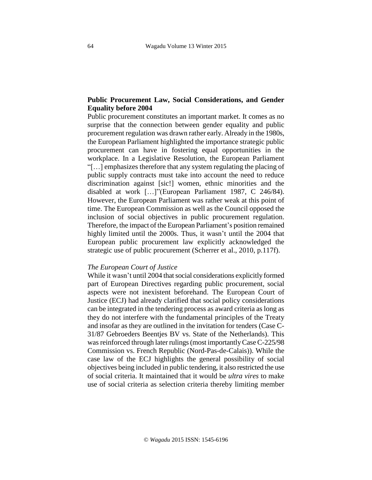# **Public Procurement Law, Social Considerations, and Gender Equality before 2004**

Public procurement constitutes an important market. It comes as no surprise that the connection between gender equality and public procurement regulation was drawn rather early. Already in the 1980s, the European Parliament highlighted the importance strategic public procurement can have in fostering equal opportunities in the workplace. In a Legislative Resolution, the European Parliament "[…] emphasizes therefore that any system regulating the placing of public supply contracts must take into account the need to reduce discrimination against [sic!] women, ethnic minorities and the disabled at work […]"(European Parliament 1987, C 246/84). However, the European Parliament was rather weak at this point of time. The European Commission as well as the Council opposed the inclusion of social objectives in public procurement regulation. Therefore, the impact of the European Parliament's position remained highly limited until the 2000s. Thus, it wasn't until the 2004 that European public procurement law explicitly acknowledged the strategic use of public procurement (Scherrer et al., 2010, p.117f).

# *The European Court of Justice*

While it wasn't until 2004 that social considerations explicitly formed part of European Directives regarding public procurement, social aspects were not inexistent beforehand. The European Court of Justice (ECJ) had already clarified that social policy considerations can be integrated in the tendering process as award criteria as long as they do not interfere with the fundamental principles of the Treaty and insofar as they are outlined in the invitation for tenders (Case C-31/87 Gebroeders Beentjes BV vs. State of the Netherlands). This was reinforced through later rulings (most importantly Case C-225/98 Commission vs. French Republic (Nord-Pas-de-Calais)). While the case law of the ECJ highlights the general possibility of social objectives being included in public tendering, it also restricted the use of social criteria. It maintained that it would be *ultra vires* to make use of social criteria as selection criteria thereby limiting member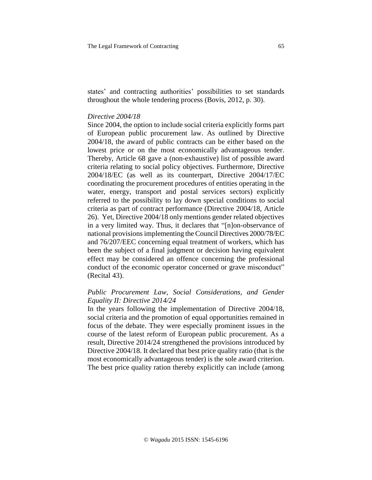states' and contracting authorities' possibilities to set standards throughout the whole tendering process (Bovis, 2012, p. 30).

### *Directive 2004/18*

Since 2004, the option to include social criteria explicitly forms part of European public procurement law. As outlined by Directive 2004/18, the award of public contracts can be either based on the lowest price or on the most economically advantageous tender. Thereby, Article 68 gave a (non-exhaustive) list of possible award criteria relating to social policy objectives. Furthermore, Directive 2004/18/EC (as well as its counterpart, Directive 2004/17/EC coordinating the procurement procedures of entities operating in the water, energy, transport and postal services sectors) explicitly referred to the possibility to lay down special conditions to social criteria as part of contract performance (Directive 2004/18, Article 26). Yet, Directive 2004/18 only mentions gender related objectives in a very limited way. Thus, it declares that "[n]on-observance of national provisions implementing the Council Directives 2000/78/EC and 76/207/EEC concerning equal treatment of workers, which has been the subject of a final judgment or decision having equivalent effect may be considered an offence concerning the professional conduct of the economic operator concerned or grave misconduct" (Recital 43).

# *Public Procurement Law, Social Considerations, and Gender Equality II: Directive 2014/24*

In the years following the implementation of Directive 2004/18, social criteria and the promotion of equal opportunities remained in focus of the debate. They were especially prominent issues in the course of the latest reform of European public procurement. As a result, Directive 2014/24 strengthened the provisions introduced by Directive 2004/18. It declared that best price quality ratio (that is the most economically advantageous tender) is the sole award criterion. The best price quality ration thereby explicitly can include (among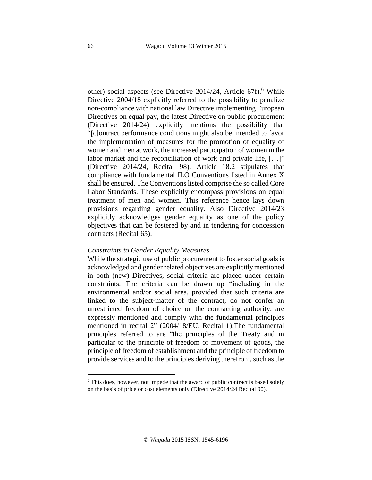other) social aspects (see Directive  $2014/24$ , Article 67f).<sup>6</sup> While Directive 2004/18 explicitly referred to the possibility to penalize non-compliance with national law Directive implementing European Directives on equal pay, the latest Directive on public procurement (Directive 2014/24) explicitly mentions the possibility that "[c]ontract performance conditions might also be intended to favor the implementation of measures for the promotion of equality of women and men at work, the increased participation of women in the labor market and the reconciliation of work and private life, [...]" (Directive 2014/24, Recital 98). Article 18.2 stipulates that compliance with fundamental ILO Conventions listed in Annex X shall be ensured. The Conventions listed comprise the so called Core Labor Standards. These explicitly encompass provisions on equal treatment of men and women. This reference hence lays down provisions regarding gender equality. Also Directive 2014/23 explicitly acknowledges gender equality as one of the policy objectives that can be fostered by and in tendering for concession contracts (Recital 65).

### *Constraints to Gender Equality Measures*

While the strategic use of public procurement to foster social goals is acknowledged and gender related objectives are explicitlymentioned in both (new) Directives, social criteria are placed under certain constraints. The criteria can be drawn up "including in the environmental and/or social area, provided that such criteria are linked to the subject-matter of the contract, do not confer an unrestricted freedom of choice on the contracting authority, are expressly mentioned and comply with the fundamental principles mentioned in recital 2" (2004/18/EU, Recital 1).The fundamental principles referred to are "the principles of the Treaty and in particular to the principle of freedom of movement of goods, the principle of freedom of establishment and the principle of freedom to provide services and to the principles deriving therefrom, such asthe

j

 $6$  This does, however, not impede that the award of public contract is based solely on the basis of price or cost elements only (Directive 2014/24 Recital 90).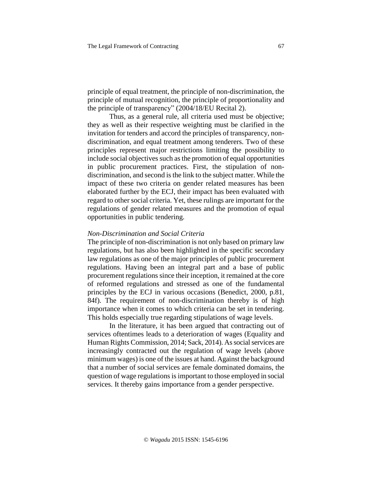principle of equal treatment, the principle of non-discrimination, the principle of mutual recognition, the principle of proportionality and the principle of transparency" (2004/18/EU Recital 2).

Thus, as a general rule, all criteria used must be objective; they as well as their respective weighting must be clarified in the invitation for tenders and accord the principles of transparency, nondiscrimination, and equal treatment among tenderers. Two of these principles represent major restrictions limiting the possibility to include social objectives such as the promotion of equal opportunities in public procurement practices. First, the stipulation of nondiscrimination, and second isthe link to the subject matter. While the impact of these two criteria on gender related measures has been elaborated further by the ECJ, their impact has been evaluated with regard to other social criteria. Yet, these rulings are important for the regulations of gender related measures and the promotion of equal opportunities in public tendering.

### *Non-Discrimination and Social Criteria*

The principle of non-discrimination is not only based on primary law regulations, but has also been highlighted in the specific secondary law regulations as one of the major principles of public procurement regulations. Having been an integral part and a base of public procurement regulations since their inception, it remained at the core of reformed regulations and stressed as one of the fundamental principles by the ECJ in various occasions (Benedict, 2000, p.81, 84f). The requirement of non-discrimination thereby is of high importance when it comes to which criteria can be set in tendering. This holds especially true regarding stipulations of wage levels.

In the literature, it has been argued that contracting out of services oftentimes leads to a deterioration of wages (Equality and Human Rights Commission, 2014; Sack, 2014). As social services are increasingly contracted out the regulation of wage levels (above minimum wages) is one of the issues at hand. Against the background that a number of social services are female dominated domains, the question of wage regulations is important to those employed in social services. It thereby gains importance from a gender perspective.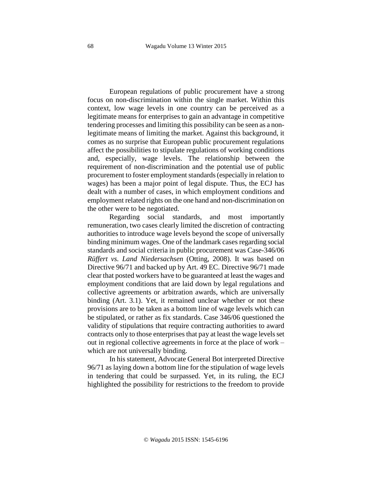European regulations of public procurement have a strong focus on non-discrimination within the single market. Within this context, low wage levels in one country can be perceived as a legitimate means for enterprises to gain an advantage in competitive tendering processes and limiting this possibility can be seen as a nonlegitimate means of limiting the market. Against this background, it comes as no surprise that European public procurement regulations affect the possibilities to stipulate regulations of working conditions and, especially, wage levels. The relationship between the requirement of non-discrimination and the potential use of public procurement to foster employment standards (especially in relation to wages) has been a major point of legal dispute. Thus, the ECJ has dealt with a number of cases, in which employment conditions and employment related rights on the one hand and non-discrimination on the other were to be negotiated.

Regarding social standards, and most importantly remuneration, two cases clearly limited the discretion of contracting authorities to introduce wage levels beyond the scope of universally binding minimum wages. One of the landmark cases regarding social standards and social criteria in public procurement was Case-346/06 *Rüffert vs. Land Niedersachsen* (Otting, 2008). It was based on Directive 96/71 and backed up by Art. 49 EC. Directive 96/71 made clear that posted workers have to be guaranteed at least the wages and employment conditions that are laid down by legal regulations and collective agreements or arbitration awards, which are universally binding (Art. 3.1). Yet, it remained unclear whether or not these provisions are to be taken as a bottom line of wage levels which can be stipulated, or rather as fix standards. Case 346/06 questioned the validity of stipulations that require contracting authorities to award contracts only to those enterprises that pay at least the wage levels set out in regional collective agreements in force at the place of work – which are not universally binding.

In his statement, Advocate General Bot interpreted Directive 96/71 as laying down a bottom line for the stipulation of wage levels in tendering that could be surpassed. Yet, in its ruling, the ECJ highlighted the possibility for restrictions to the freedom to provide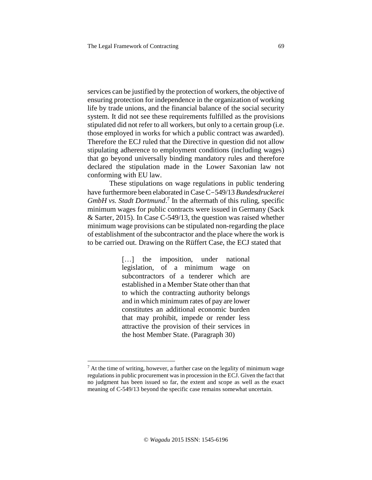services can be justified by the protection of workers, the objective of ensuring protection for independence in the organization of working life by trade unions, and the financial balance of the social security system. It did not see these requirements fulfilled as the provisions stipulated did not refer to all workers, but only to a certain group (i.e. those employed in works for which a public contract was awarded). Therefore the ECJ ruled that the Directive in question did not allow stipulating adherence to employment conditions (including wages) that go beyond universally binding mandatory rules and therefore declared the stipulation made in the Lower Saxonian law not conforming with EU law.

These stipulations on wage regulations in public tendering have furthermore been elaborated in CaseC-549/13 *Bundesdruckerei GmbH vs. Stadt Dortmund*. 7 In the aftermath of this ruling, specific minimum wages for public contracts were issued in Germany (Sack & Sarter, 2015). In Case C-549/13, the question was raised whether minimum wage provisions can be stipulated non-regarding the place of establishment of the subcontractor and the place where the work is to be carried out. Drawing on the Rüffert Case, the ECJ stated that

> [...] the imposition, under national legislation, of a minimum wage on subcontractors of a tenderer which are established in a Member State other than that to which the contracting authority belongs and in which minimum rates of pay are lower constitutes an additional economic burden that may prohibit, impede or render less attractive the provision of their services in the host Member State. (Paragraph 30)

j

 $<sup>7</sup>$  At the time of writing, however, a further case on the legality of minimum wage</sup> regulations in public procurement wasin procession in the ECJ. Given the fact that no judgment has been issued so far, the extent and scope as well as the exact meaning of C-549/13 beyond the specific case remains somewhat uncertain.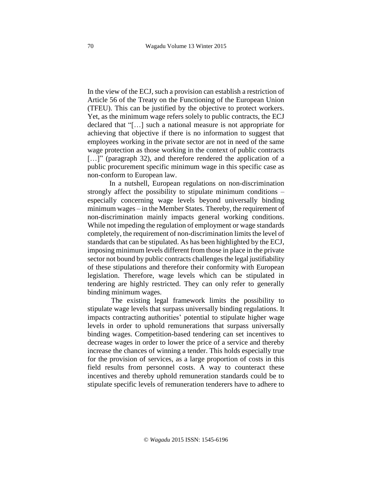In the view of the ECJ, such a provision can establish a restriction of Article 56 of the Treaty on the Functioning of the European Union (TFEU). This can be justified by the objective to protect workers. Yet, as the minimum wage refers solely to public contracts, the ECJ declared that "[…] such a national measure is not appropriate for achieving that objective if there is no information to suggest that employees working in the private sector are not in need of the same wage protection as those working in the context of public contracts [...]" (paragraph 32), and therefore rendered the application of a public procurement specific minimum wage in this specific case as non-conform to European law.

In a nutshell, European regulations on non-discrimination strongly affect the possibility to stipulate minimum conditions – especially concerning wage levels beyond universally binding minimum wages – in the Member States. Thereby, the requirement of non-discrimination mainly impacts general working conditions. While not impeding the regulation of employment or wage standards completely, the requirement of non-discrimination limits the level of standards that can be stipulated. As has been highlighted by the ECJ, imposing minimum levels different from those in place in the private sector not bound by public contracts challenges the legal justifiability of these stipulations and therefore their conformity with European legislation. Therefore, wage levels which can be stipulated in tendering are highly restricted. They can only refer to generally binding minimum wages.

The existing legal framework limits the possibility to stipulate wage levels that surpass universally binding regulations. It impacts contracting authorities' potential to stipulate higher wage levels in order to uphold remunerations that surpass universally binding wages. Competition-based tendering can set incentives to decrease wages in order to lower the price of a service and thereby increase the chances of winning a tender. This holds especially true for the provision of services, as a large proportion of costs in this field results from personnel costs. A way to counteract these incentives and thereby uphold remuneration standards could be to stipulate specific levels of remuneration tenderers have to adhere to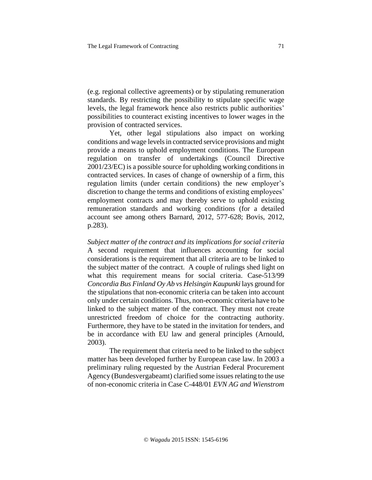(e.g. regional collective agreements) or by stipulating remuneration standards. By restricting the possibility to stipulate specific wage levels, the legal framework hence also restricts public authorities' possibilities to counteract existing incentives to lower wages in the provision of contracted services.

Yet, other legal stipulations also impact on working conditions and wage levelsin contracted service provisions and might provide a means to uphold employment conditions. The European regulation on transfer of undertakings (Council Directive 2001/23/EC) is a possible source for upholding working conditionsin contracted services. In cases of change of ownership of a firm, this regulation limits (under certain conditions) the new employer's discretion to change the terms and conditions of existing employees' employment contracts and may thereby serve to uphold existing remuneration standards and working conditions (for a detailed account see among others Barnard, 2012, 577-628; Bovis, 2012, p.283).

*Subject matter of the contract and its implications for social criteria* A second requirement that influences accounting for social considerations is the requirement that all criteria are to be linked to the subject matter of the contract. A couple of rulings shed light on what this requirement means for social criteria. Case-513/99 *Concordia Bus Finland Oy Ab vs Helsingin Kaupunki* lays ground for the stipulations that non-economic criteria can be taken into account only under certain conditions. Thus, non-economic criteria have to be linked to the subject matter of the contract. They must not create unrestricted freedom of choice for the contracting authority. Furthermore, they have to be stated in the invitation for tenders, and be in accordance with EU law and general principles (Arnould, 2003).

The requirement that criteria need to be linked to the subject matter has been developed further by European case law. In 2003 a preliminary ruling requested by the Austrian Federal Procurement Agency (Bundesvergabeamt) clarified some issues relating to the use of non-economic criteria in Case C-448/01 *EVN AG and Wienstrom*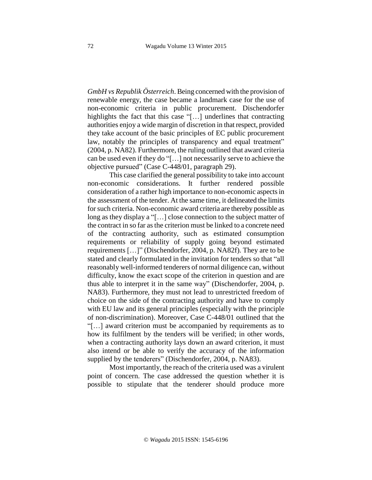*GmbH vs Republik Österreich*. Being concerned with the provision of renewable energy, the case became a landmark case for the use of non-economic criteria in public procurement. Dischendorfer highlights the fact that this case "[...] underlines that contracting authorities enjoy a wide margin of discretion in that respect, provided they take account of the basic principles of EC public procurement law, notably the principles of transparency and equal treatment" (2004, p. NA82). Furthermore, the ruling outlined that award criteria can be used even if they do "[…] not necessarily serve to achieve the objective pursued" (Case C-448/01, paragraph 29).

This case clarified the general possibility to take into account non-economic considerations. It further rendered possible consideration of a rather high importance to non-economic aspectsin the assessment of the tender. At the same time, it delineated the limits for such criteria. Non-economic award criteria are thereby possible as long as they display a "[…] close connection to the subject matter of the contract in so far asthe criterion must be linked to a concrete need of the contracting authority, such as estimated consumption requirements or reliability of supply going beyond estimated requirements […]" (Dischendorfer, 2004, p. NA82f). They are to be stated and clearly formulated in the invitation for tenders so that "all reasonably well-informed tenderers of normal diligence can, without difficulty, know the exact scope of the criterion in question and are thus able to interpret it in the same way" (Dischendorfer, 2004, p. NA83). Furthermore, they must not lead to unrestricted freedom of choice on the side of the contracting authority and have to comply with EU law and its general principles (especially with the principle of non-discrimination). Moreover, Case C-448/01 outlined that the "[…] award criterion must be accompanied by requirements as to how its fulfilment by the tenders will be verified; in other words, when a contracting authority lays down an award criterion, it must also intend or be able to verify the accuracy of the information supplied by the tenderers" (Dischendorfer, 2004, p. NA83).

Most importantly, the reach of the criteria used was a virulent point of concern. The case addressed the question whether it is possible to stipulate that the tenderer should produce more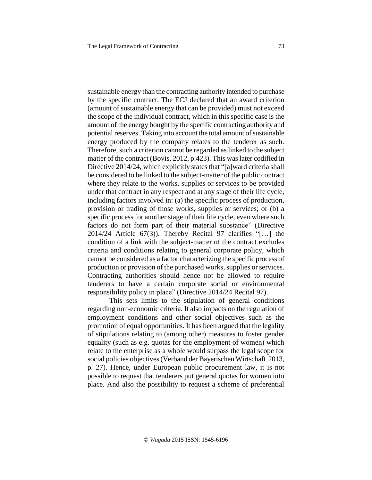sustainable energy than the contracting authority intended to purchase by the specific contract. The ECJ declared that an award criterion (amount of sustainable energy that can be provided) must not exceed the scope of the individual contract, which in this specific case is the amount of the energy bought by the specific contracting authority and potential reserves. Taking into account the total amount of sustainable energy produced by the company relates to the tenderer as such. Therefore, such a criterion cannot be regarded as linked to the subject matter of the contract (Bovis, 2012, p.423). This waslater codified in Directive 2014/24, which explicitly states that "[a]ward criteria shall be considered to be linked to the subject-matter of the public contract where they relate to the works, supplies or services to be provided under that contract in any respect and at any stage of their life cycle, including factors involved in: (a) the specific process of production, provision or trading of those works, supplies or services; or (b) a specific process for another stage of their life cycle, even where such factors do not form part of their material substance" (Directive 2014/24 Article 67(3)). Thereby Recital 97 clarifies "[…] the condition of a link with the subject-matter of the contract excludes criteria and conditions relating to general corporate policy, which cannot be considered as a factor characterizing the specific process of production or provision of the purchased works, supplies or services. Contracting authorities should hence not be allowed to require tenderers to have a certain corporate social or environmental responsibility policy in place" (Directive 2014/24 Recital 97).

This sets limits to the stipulation of general conditions regarding non-economic criteria. It also impacts on the regulation of employment conditions and other social objectives such as the promotion of equal opportunities. It has been argued that the legality of stipulations relating to (among other) measures to foster gender equality (such as e.g. quotas for the employment of women) which relate to the enterprise as a whole would surpass the legal scope for social policies objectives(Verband der Bayerischen Wirtschaft 2013, p. 27). Hence, under European public procurement law, it is not possible to request that tenderers put general quotas for women into place. And also the possibility to request a scheme of preferential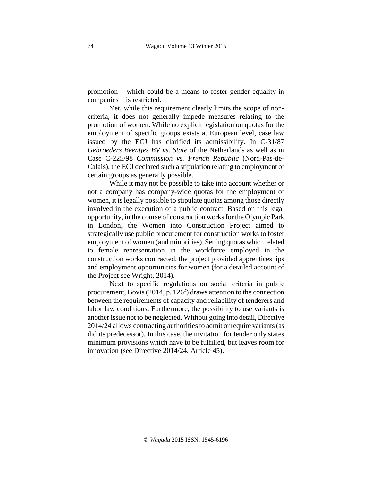promotion – which could be a means to foster gender equality in companies – is restricted.

Yet, while this requirement clearly limits the scope of noncriteria, it does not generally impede measures relating to the promotion of women. While no explicit legislation on quotas for the employment of specific groups exists at European level, case law issued by the ECJ has clarified its admissibility. In C-31/87 *Gebroeders Beentjes BV vs. State* of the Netherlands as well as in Case C-225/98 *Commission vs. French Republic* (Nord-Pas-de-Calais), the ECJ declared such a stipulation relating to employment of certain groups as generally possible.

While it may not be possible to take into account whether or not a company has company-wide quotas for the employment of women, it is legally possible to stipulate quotas among those directly involved in the execution of a public contract. Based on this legal opportunity, in the course of construction worksfor the Olympic Park in London, the Women into Construction Project aimed to strategically use public procurement for construction works to foster employment of women (and minorities). Setting quotas which related to female representation in the workforce employed in the construction works contracted, the project provided apprenticeships and employment opportunities for women (for a detailed account of the Project see Wright, 2014).

Next to specific regulations on social criteria in public procurement, Bovis(2014, p. 126f) draws attention to the connection between the requirements of capacity and reliability of tenderers and labor law conditions. Furthermore, the possibility to use variants is another issue not to be neglected. Without going into detail, Directive 2014/24 allows contracting authorities to admit or require variants (as did its predecessor). In this case, the invitation for tender only states minimum provisions which have to be fulfilled, but leaves room for innovation (see Directive 2014/24, Article 45).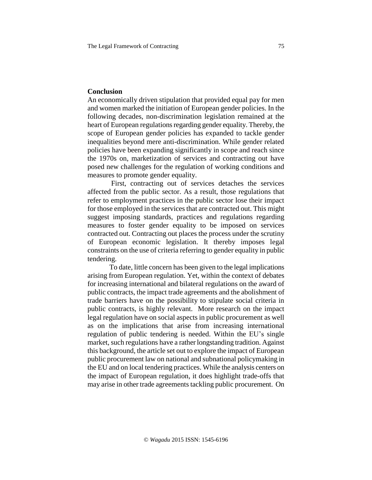### **Conclusion**

An economically driven stipulation that provided equal pay for men and women marked the initiation of European gender policies. In the following decades, non-discrimination legislation remained at the heart of European regulations regarding gender equality. Thereby, the scope of European gender policies has expanded to tackle gender inequalities beyond mere anti-discrimination. While gender related policies have been expanding significantly in scope and reach since the 1970s on, marketization of services and contracting out have posed new challenges for the regulation of working conditions and measures to promote gender equality.

First, contracting out of services detaches the services affected from the public sector. As a result, those regulations that refer to employment practices in the public sector lose their impact for those employed in the services that are contracted out. This might suggest imposing standards, practices and regulations regarding measures to foster gender equality to be imposed on services contracted out. Contracting out places the process under the scrutiny of European economic legislation. It thereby imposes legal constraints on the use of criteria referring to gender equality in public tendering.

To date, little concern has been given to the legal implications arising from European regulation. Yet, within the context of debates for increasing international and bilateral regulations on the award of public contracts, the impact trade agreements and the abolishment of trade barriers have on the possibility to stipulate social criteria in public contracts, is highly relevant. More research on the impact legal regulation have on social aspects in public procurement as well as on the implications that arise from increasing international regulation of public tendering is needed. Within the EU's single market, such regulations have a rather longstanding tradition. Against this background, the article set out to explore the impact of European public procurement law on national and subnational policymaking in the EU and on local tendering practices. While the analysis centers on the impact of European regulation, it does highlight trade-offs that may arise in other trade agreements tackling public procurement. On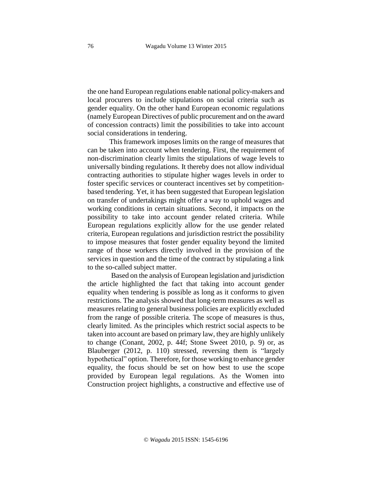the one hand European regulations enable national policy-makers and local procurers to include stipulations on social criteria such as gender equality. On the other hand European economic regulations (namely European Directives of public procurement and on the award of concession contracts) limit the possibilities to take into account social considerations in tendering.

This framework imposes limits on the range of measures that can be taken into account when tendering. First, the requirement of non-discrimination clearly limits the stipulations of wage levels to universally binding regulations. It thereby does not allow individual contracting authorities to stipulate higher wages levels in order to foster specific services or counteract incentives set by competitionbased tendering. Yet, it has been suggested that European legislation on transfer of undertakings might offer a way to uphold wages and working conditions in certain situations. Second, it impacts on the possibility to take into account gender related criteria. While European regulations explicitly allow for the use gender related criteria, European regulations and jurisdiction restrict the possibility to impose measures that foster gender equality beyond the limited range of those workers directly involved in the provision of the services in question and the time of the contract by stipulating a link to the so-called subject matter.

Based on the analysis of European legislation and jurisdiction the article highlighted the fact that taking into account gender equality when tendering is possible as long as it conforms to given restrictions. The analysis showed that long-term measures as well as measures relating to general business policies are explicitly excluded from the range of possible criteria. The scope of measures is thus, clearly limited. As the principles which restrict social aspects to be taken into account are based on primary law, they are highly unlikely to change (Conant, 2002, p. 44f; Stone Sweet 2010, p. 9) or, as Blauberger (2012, p. 110) stressed, reversing them is "largely hypothetical" option. Therefore, for those working to enhance gender equality, the focus should be set on how best to use the scope provided by European legal regulations. As the Women into Construction project highlights, a constructive and effective use of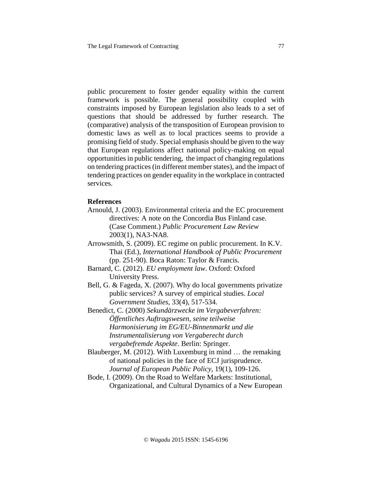public procurement to foster gender equality within the current framework is possible. The general possibility coupled with constraints imposed by European legislation also leads to a set of questions that should be addressed by further research. The (comparative) analysis of the transposition of European provision to domestic laws as well as to local practices seems to provide a promising field of study. Special emphasis should be given to the way that European regulations affect national policy-making on equal opportunities in public tendering, the impact of changing regulations on tendering practices (in different member states), and the impact of tendering practices on gender equality in the workplace in contracted services.

### **References**

- Arnould, J. (2003). Environmental criteria and the EC procurement directives: A note on the Concordia Bus Finland case. (Case Comment.) *Public Procurement Law Review* 2003(1), NA3-NA8.
- Arrowsmith, S. (2009). EC regime on public procurement. In K.V. Thai (Ed.), *International Handbook of Public Procurement* (pp. 251-90). Boca Raton: Taylor & Francis.
- Barnard, C. (2012). *EU employment law*. Oxford: Oxford University Press.
- Bell, G. & Fageda, X. (2007). Why do local governments privatize public services? A survey of empirical studies. *Local Government Studies*, 33(4), 517-534.
- Benedict, C. (2000) *Sekundärzwecke im Vergabeverfahren: Öffentliches Auftragswesen, seine teilweise Harmonisierung im EG/EU-Binnenmarkt und die Instrumentalisierung von Vergaberecht durch vergabefremde Aspekte*. Berlin: Springer.
- Blauberger, M. (2012). With Luxemburg in mind … the remaking of national policies in the face of ECJ jurisprudence. *Journal of European Public Policy,* 19(1), 109-126.
- Bode, I. (2009). On the Road to Welfare Markets: Institutional, Organizational, and Cultural Dynamics of a New European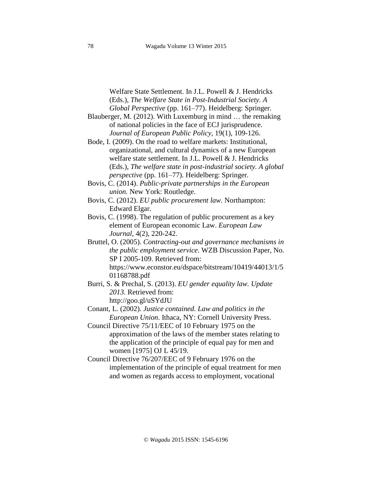Welfare State Settlement. In J.L. Powell & J. Hendricks (Eds.), *The Welfare State in Post-Industrial Society. A Global Perspective* (pp. 161–77). Heidelberg: Springer*.*

- Blauberger, M. (2012). With Luxemburg in mind … the remaking of national policies in the face of ECJ jurisprudence. *Journal of European Public Policy,* 19(1), 109-126.
- Bode, I. (2009). On the road to welfare markets: Institutional, organizational, and cultural dynamics of a new European welfare state settlement. In J.L. Powell & J. Hendricks (Eds.), *The welfare state in post-industrial society. A global perspective* (pp. 161–77). Heidelberg: Springer*.*
- Bovis, C. (2014). *Public-private partnerships in the European union.* New York: Routledge.
- Bovis, C. (2012). *EU public procurement law.* Northampton: Edward Elgar.
- Bovis, C. (1998). The regulation of public procurement as a key element of European economic Law. *European Law Journal*, 4(2), 220-242.
- Bruttel, O. (2005). *Contracting-out and governance mechanisms in the public employment service*. WZB Discussion Paper, No. SP I 2005-109. Retrieved from: https://www.econstor.eu/dspace/bitstream/10419/44013/1/5 01168788.pdf
- Burri, S. & Prechal, S. (2013). *EU gender equality law. Update 2013.* Retrieved from: http://goo.gl/uSYdJU

Conant, L. (2002). *Justice contained. Law and politics in the European Union*. Ithaca, NY: Cornell University Press.

- Council Directive 75/11/EEC of 10 February 1975 on the approximation of the laws of the member states relating to the application of the principle of equal pay for men and women [1975] OJ L 45/19.
- Council Directive 76/207/EEC of 9 February 1976 on the implementation of the principle of equal treatment for men and women as regards access to employment, vocational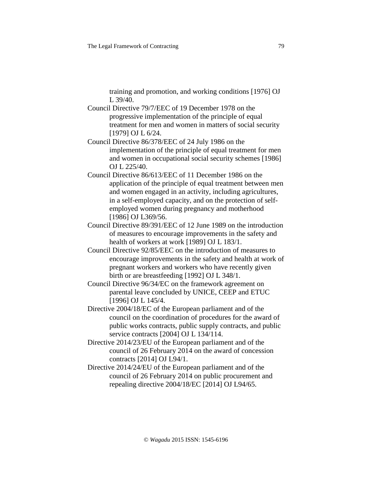training and promotion, and working conditions [1976] OJ L 39/40.

- Council Directive 79/7/EEC of 19 December 1978 on the progressive implementation of the principle of equal treatment for men and women in matters of social security [1979] OJ L 6/24.
- Council Directive 86/378/EEC of 24 July 1986 on the implementation of the principle of equal treatment for men and women in occupational social security schemes [1986] OJ L 225/40.
- Council Directive 86/613/EEC of 11 December 1986 on the application of the principle of equal treatment between men and women engaged in an activity, including agricultures, in a self-employed capacity, and on the protection of selfemployed women during pregnancy and motherhood [1986] OJ L369/56.
- Council Directive 89/391/EEC of 12 June 1989 on the introduction of measures to encourage improvements in the safety and health of workers at work [1989] OJ L 183/1.
- Council Directive 92/85/EEC on the introduction of measures to encourage improvements in the safety and health at work of pregnant workers and workers who have recently given birth or are breastfeeding [1992] OJ L 348/1.
- Council Directive 96/34/EC on the framework agreement on parental leave concluded by UNICE, CEEP and ETUC [1996] OJ L 145/4.
- Directive 2004/18/EC of the European parliament and of the council on the coordination of procedures for the award of public works contracts, public supply contracts, and public service contracts [2004] OJ L 134/114.
- Directive 2014/23/EU of the European parliament and of the council of 26 February 2014 on the award of concession contracts [2014] OJ L94/1.
- Directive 2014/24/EU of the European parliament and of the council of 26 February 2014 on public procurement and repealing directive 2004/18/EC [2014] OJ L94/65.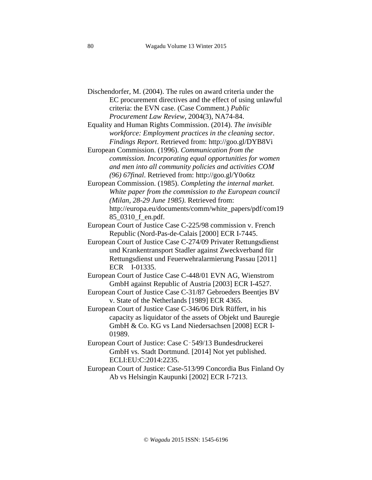Dischendorfer, M. (2004). The rules on award criteria under the EC procurement directives and the effect of using unlawful criteria: the EVN case. (Case Comment.) *Public Procurement Law Review*, 2004(3), NA74-84.

Equality and Human Rights Commission. (2014). *The invisible workforce: Employment practices in the cleaning sector. Findings Report*. Retrieved from: http://goo.gl/DYB8Vi

European Commission. (1996). *Communication from the commission. Incorporating equal opportunities for women and men into all community policies and activities COM (96) 67final*. Retrieved from: http://goo.gl/Y0o6tz

European Commission. (1985). *Completing the internal market. White paper from the commission to the European council (Milan, 28-29 June 1985)*. Retrieved from: http://europa.eu/documents/comm/white\_papers/pdf/com19 85\_0310\_f\_en.pdf.

European Court of Justice Case C-225/98 commission v. French Republic (Nord-Pas-de-Calais [2000] ECR I-7445.

- European Court of Justice Case C-274/09 Privater Rettungsdienst und Krankentransport Stadler against Zweckverband für Rettungsdienst und Feuerwehralarmierung Passau [2011] ECR I-01335.
- European Court of Justice Case C-448/01 EVN AG, Wienstrom GmbH against Republic of Austria [2003] ECR I-4527.
- European Court of Justice Case C-31/87 Gebroeders Beentjes BV v. State of the Netherlands [1989] ECR 4365.

European Court of Justice Case C-346/06 Dirk Rüffert, in his capacity as liquidator of the assets of Objekt und Bauregie GmbH & Co. KG vs Land Niedersachsen [2008] ECR I-01989.

- European Court of Justice: Case C‑549/13 Bundesdruckerei GmbH vs. Stadt Dortmund. [2014] Not yet published. ECLI:EU:C:2014:2235.
- European Court of Justice: Case-513/99 Concordia Bus Finland Oy Ab vs Helsingin Kaupunki [2002] ECR I-7213.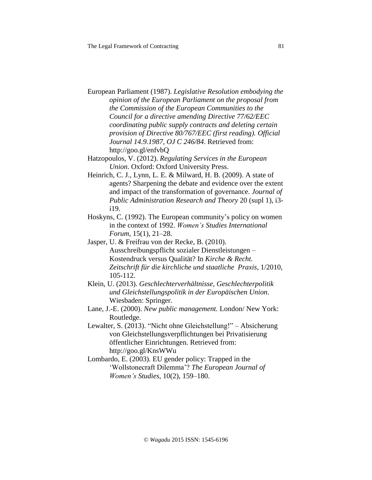European Parliament (1987). *Legislative Resolution embodying the opinion of the European Parliament on the proposal from the Commission of the European Communities to the Council for a directive amending Directive 77/62/EEC coordinating public supply contracts and deleting certain provision of Directive 80/767/EEC (first reading). Official Journal 14.9.1987, OJ C 246/84*. Retrieved from: http://goo.gl/enfvbQ

Hatzopoulos, V. (2012). *Regulating Services in the European Union*. Oxford: Oxford University Press.

Heinrich, C. J., Lynn, L. E. & Milward, H. B. (2009). A state of agents? Sharpening the debate and evidence over the extent and impact of the transformation of governance. *Journal of Public Administration Research and Theory* 20 (supl 1), i3 i19.

Hoskyns, C. (1992). The European community's policy on women in the context of 1992. *Women's Studies International Forum*, 15(1), 21–28.

- Jasper, U. & Freifrau von der Recke, B. (2010). Ausschreibungspflicht sozialer Dienstleistungen – Kostendruck versus Qualität? In *Kirche & Recht. Zeitschrift für die kirchliche und staatliche Praxis*, 1/2010, 105-112.
- Klein, U. (2013). *Geschlechterverhältnisse, Geschlechterpolitik und Gleichstellungspolitik in der Europäischen Union*. Wiesbaden: Springer.
- Lane, J.-E. (2000). *New public management.* London/ New York: Routledge.
- Lewalter, S. (2013). "Nicht ohne Gleichstellung!" Absicherung von Gleichstellungsverpflichtungen bei Privatisierung öffentlicher Einrichtungen. Retrieved from: http://goo.gl/KnsWWu
- Lombardo, E. (2003). EU gender policy: Trapped in the 'Wollstonecraft Dilemma'? *The European Journal of Women's Studies*, 10(2), 159–180.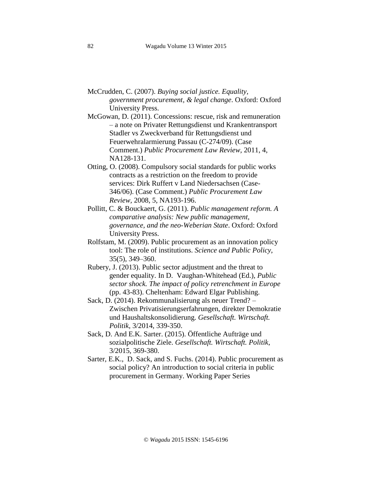- McCrudden, C. (2007). *Buying social justice. Equality, government procurement, & legal change*. Oxford: Oxford University Press.
- McGowan, D. (2011). Concessions: rescue, risk and remuneration – a note on Privater Rettungsdienst und Krankentransport Stadler vs Zweckverband für Rettungsdienst und Feuerwehralarmierung Passau (C-274/09). (Case Comment.) *Public Procurement Law Review,* 2011, 4, NA128-131.
- Otting, O. (2008). Compulsory social standards for public works contracts as a restriction on the freedom to provide services: Dirk Ruffert v Land Niedersachsen (Case-346/06). (Case Comment.) *Public Procurement Law Review,* 2008, 5, NA193-196.
- Pollitt, C. & Bouckaert, G. (2011). *Public management reform. A comparative analysis: New public management, governance, and the neo-Weberian State*. Oxford: Oxford University Press.
- Rolfstam, M. (2009). Public procurement as an innovation policy tool: The role of institutions. *Science and Public Policy*, 35(5), 349–360.
- Rubery, J. (2013). Public sector adjustment and the threat to gender equality. In D. Vaughan-Whitehead (Ed.)*, Public sector shock. The impact of policy retrenchment in Europe* (pp. 43-83). Cheltenham: Edward Elgar Publishing.
- Sack, D. (2014). Rekommunalisierung als neuer Trend? Zwischen Privatisierungserfahrungen, direkter Demokratie und Haushaltskonsolidierung. *Gesellschaft. Wirtschaft. Politik*, 3/2014, 339-350.
- Sack, D. And E.K. Sarter. (2015). Öffentliche Aufträge und sozialpolitische Ziele. *Gesellschaft. Wirtschaft. Politik*, 3/2015, 369-380.
- Sarter, E.K., D. Sack, and S. Fuchs. (2014). Public procurement as social policy? An introduction to social criteria in public procurement in Germany. Working Paper Series